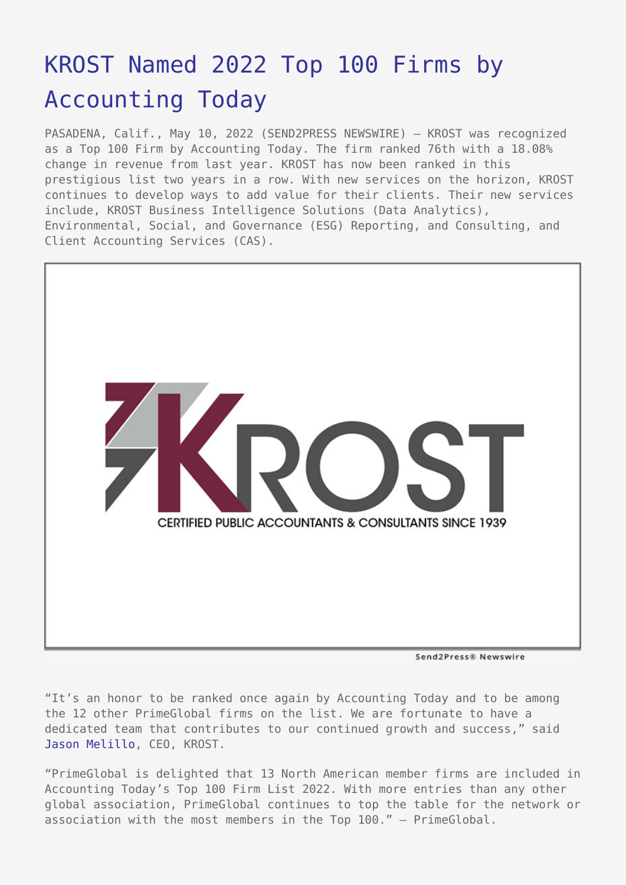## [KROST Named 2022 Top 100 Firms by](https://www.send2press.com/wire/krost-named-2022-top-100-firms-by-accounting-today/) [Accounting Today](https://www.send2press.com/wire/krost-named-2022-top-100-firms-by-accounting-today/)

PASADENA, Calif., May 10, 2022 (SEND2PRESS NEWSWIRE) — KROST was recognized as a Top 100 Firm by Accounting Today. The firm ranked 76th with a 18.08% change in revenue from last year. KROST has now been ranked in this prestigious list two years in a row. With new services on the horizon, KROST continues to develop ways to add value for their clients. Their new services include, KROST Business Intelligence Solutions (Data Analytics), Environmental, Social, and Governance (ESG) Reporting, and Consulting, and Client Accounting Services (CAS).



Send2Press® Newswire

"It's an honor to be ranked once again by Accounting Today and to be among the 12 other PrimeGlobal firms on the list. We are fortunate to have a dedicated team that contributes to our continued growth and success," said [Jason Melillo,](https://www.krostcpas.com/management/jason-melillo) CEO, KROST.

"PrimeGlobal is delighted that 13 North American member firms are included in Accounting Today's Top 100 Firm List 2022. With more entries than any other global association, PrimeGlobal continues to top the table for the network or association with the most members in the Top 100." – PrimeGlobal.